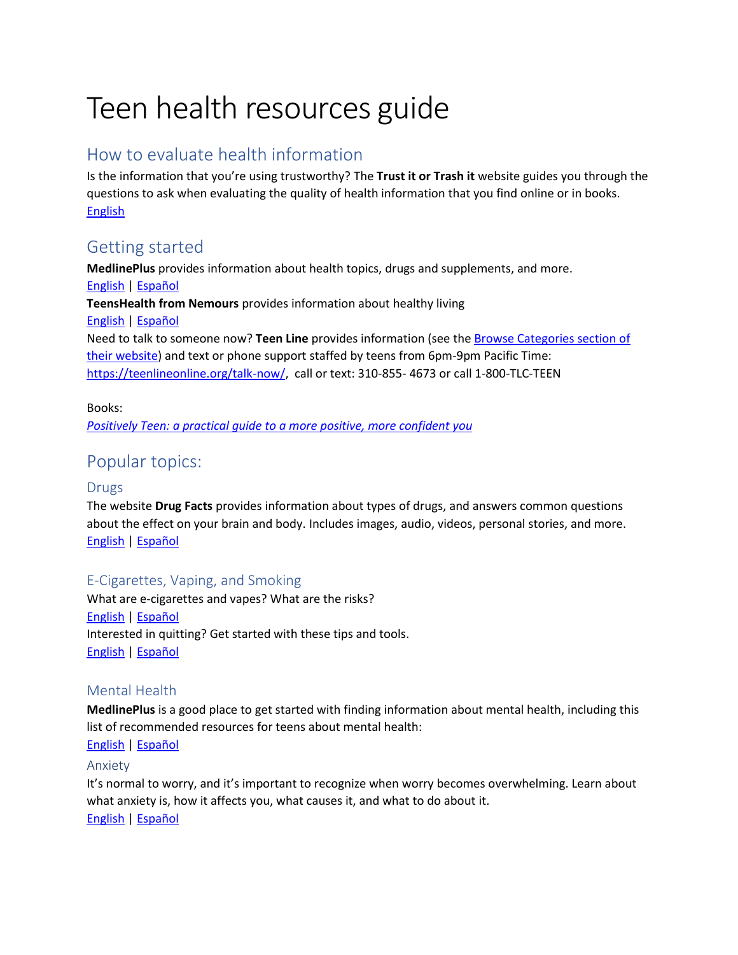# Teen health resources guide

# How to evaluate health information

Is the information that you're using trustworthy? The **Trust it or Trash it** website guides you through the questions to ask when evaluating the quality of health information that you find online or in books. **[English](http://www.trustortrash.org/)** 

# Getting started

**MedlinePlus** provides information about health topics, drugs and supplements, and more. [English](https://medlineplus.gov/) [| Español](https://medlineplus.gov/spanish/) **TeensHealth from Nemours** provides information about healthy living [English](https://teenshealth.org/en/teens/?WT.ac=t2t) [| Español](https://teenshealth.org/es/teens/center/spanish-center-esp.html?WT.ac=t2t-lang) Need to talk to someone now? **Teen Line** provides information (see th[e Browse Categories section](https://teenlineonline.org/yyp/) of their website) and text or phone support staffed by teens from 6pm-9pm Pacific Time: [https://teenlineonline.org/talk-now/,](https://teenlineonline.org/talk-now/) call or text: 310-855- 4673 or call 1-800-TLC-TEEN

Books: *[Positively Teen: a practical guide to a more positive, more confident you](http://www.worldcat.org/oclc/1107225237)*

# Popular topics:

## Drugs

The website **Drug Facts** provides information about types of drugs, and answers common questions about the effect on your brain and body. Includes images, audio, videos, personal stories, and more. [English](https://teens.drugabuse.gov/drug-facts) [| Español](https://teens.drugabuse.gov/es/datos-sobre-las-drogas)

# E-Cigarettes, Vaping, and Smoking

What are e-cigarettes and vapes? What are the risks? [English](https://www.cdc.gov/tobacco/basic_information/e-cigarettes/Quick-Facts-on-the-Risks-of-E-cigarettes-for-Kids-Teens-and-Young-Adults.html) [| Español](https://www.cdc.gov/tobacco/basic_information/e-cigarettes/spanish/los-riesgos-de-los-cigarrillos-electronicos-para-jovenes.html) Interested in quitting? Get started with these tips and tools. [English](https://teen.smokefree.gov/) [| Español](https://espanol.smokefree.gov/)

## Mental Health

**MedlinePlus** is a good place to get started with finding information about mental health, including this list of recommended resources for teens about mental health:

## [English](https://medlineplus.gov/teenmentalhealth.html) [| Español](https://medlineplus.gov/spanish/teenmentalhealth.html)

## Anxiety

It's normal to worry, and it's important to recognize when worry becomes overwhelming. Learn about what anxiety is, how it affects you, what causes it, and what to do about it. [English](https://kidshealth.org/en/teens/anxiety.html) [| Español](https://kidshealth.org/es/teens/anxiety-esp.html?WT.ac=pairedLink)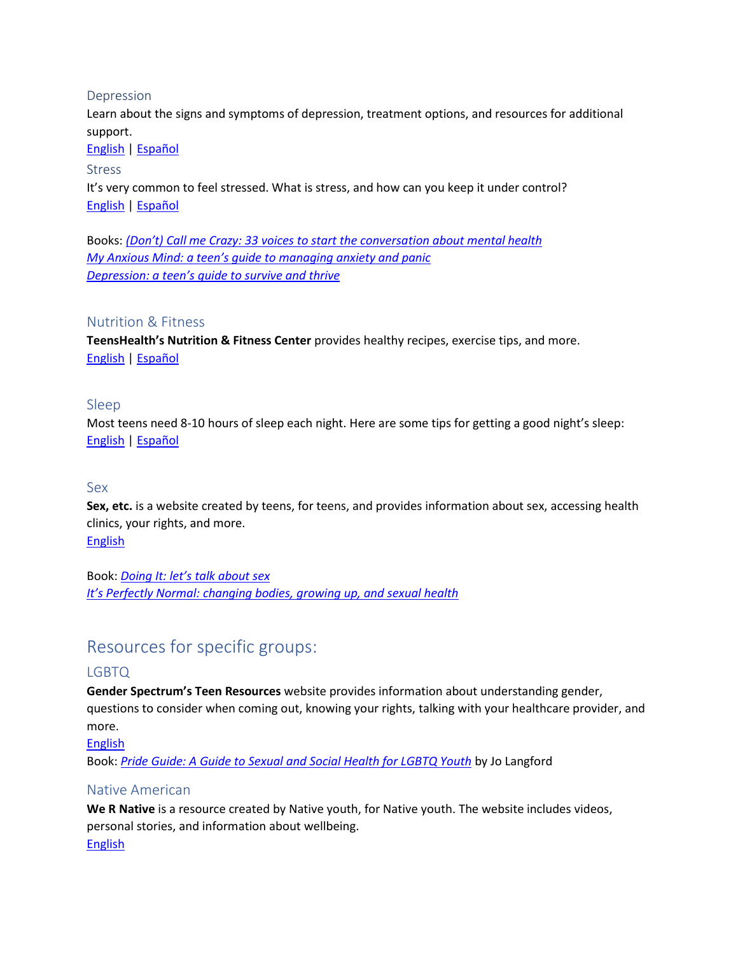#### Depression

Learn about the signs and symptoms of depression, treatment options, and resources for additional support.

[English](https://www.nimh.nih.gov/health/publications/teen-depression/index.shtml) [| Español](https://www.nimh.nih.gov/health/publications/espanol/la-depresion-en-la-adolescencia/index.shtml)

#### Stress

It's very common to feel stressed. What is stress, and how can you keep it under control? [English](https://kidshealth.org/en/teens/stress.html#cattake-care) [| Español](https://kidshealth.org/es/teens/stress-esp.html?WT.ac=pairedLink#cattake-care)

Books: *[\(Don't\) Call me Crazy: 33 voices to start the conversa](http://www.worldcat.org/oclc/1029095331)tion about mental health [My Anxious Mind: a teen's guide to managing anxiety and panic](http://www.worldcat.org/oclc/317118228) [Depression: a teen's guide to survive and thrive](http://www.worldcat.org/oclc/945693815)*

#### Nutrition & Fitness

**TeensHealth's Nutrition & Fitness Center** provides healthy recipes, exercise tips, and more. [English](https://kidshealth.org/en/teens/center/fitness-nutrition-center.html?WT.ac=t-ra#cattake-care) [| Español](https://kidshealth.org/es/teens/food-fitness-esp/?WT.ac=en-t-fitness-nutrition-center-k#cattake-care)

#### Sleep

Most teens need 8-10 hours of sleep each night. Here are some tips for getting a good night's sleep: [English](https://kidshealth.org/en/teens/tips-sleep.html?WT.ac=ctg#cattake-care) [| Español](https://kidshealth.org/es/teens/tips-sleep-esp.html?WT.ac=pairedLink#cattake-care)

#### Sex

**Sex, etc.** is a website created by teens, for teens, and provides information about sex, accessing health clinics, your rights, and more. **[English](https://sexetc.org/)** 

Book: *Doing It[: let's talk about sex](http://www.worldcat.org/oclc/1015281528) [It's Perfectly Normal: changing bodies, growing up, and sexual health](http://www.worldcat.org/oclc/1042080483)*

# Resources for specific groups:

## LGBTQ

**Gender Spectrum's Teen Resources** website provides information about understanding gender, questions to consider when coming out, knowing your rights, talking with your healthcare provider, and more.

[English](https://www.genderspectrum.org/resources/teens-2/)

Book: *[Pride Guide: A Guide to Sexual and Social Health for LGBTQ Youth](http://www.worldcat.org/oclc/1066142522)* by Jo Langford

#### Native American

**We R Native** is a resource created by Native youth, for Native youth. The website includes videos, personal stories, and information about wellbeing. [English](https://www.wernative.org/)